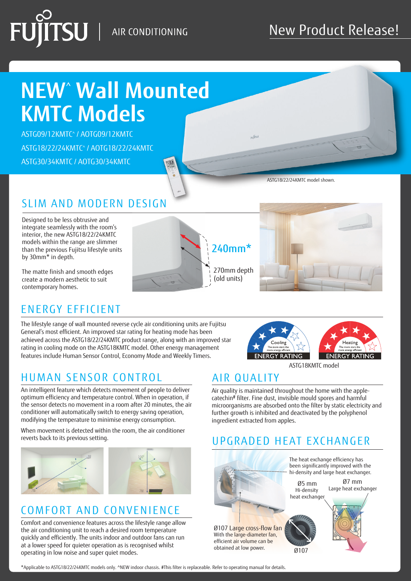# $\overline{\text{T}}\text{SU}$  | air conditioning

# **NEW**^  **Wall Mounted KMTC Models**

ASTG09/12KMTC^ / AOTG09/12KMTC ASTG18/22/24KMTC^ / AOTG18/22/24KMTC ASTG30/34KMTC / AOTG30/34KMTC

ASTG18/22/24KMTC model shown.

 $S_{\text{tr}}$ 

### SLIM AND MODERN DESIGN

Designed to be less obtrusive and integrate seamlessly with the room's interior, the new ASTG18/22/24KMTC models within the range are slimmer than the previous Fujitsu lifestyle units by 30mm\* in depth.

The matte finish and smooth edges create a modern aesthetic to suit contemporary homes.

## ENERGY EFFICIENT

The lifestyle range of wall mounted reverse cycle air conditioning units are Fujitsu General's most efficient. An improved star rating for heating mode has been achieved across the ASTG18/22/24KMTC product range, along with an improved star rating in cooling mode on the ASTG18KMTC model. Other energy management features include Human Sensor Control, Economy Mode and Weekly Timers.

### HUMAN SENSOR CONTROL AIR QUALITY

An intelligent feature which detects movement of people to deliver optimum efficiency and temperature control. When in operation, if the sensor detects no movement in a room after 20 minutes, the air conditioner will automatically switch to energy saving operation, modifying the temperature to minimise energy consumption.

When movement is detected within the room, the air conditioner reverts back to its previous setting.



### COMFORT AND CONVENIENCE

Comfort and convenience features across the lifestyle range allow the air conditioning unit to reach a desired room temperature quickly and efficiently. The units indoor and outdoor fans can run at a lower speed for quieter operation as is recognised whilst operating in low noise and super quiet modes.







ASTG18KMTC model

Air quality is maintained throughout the home with the applecatechin# filter. Fine dust, invisible mould spores and harmful microorganisms are absorbed onto the filter by static electricity and further growth is inhibited and deactivated by the polyphenol ingredient extracted from apples.

### UPGRADED HEAT EXCHANGER